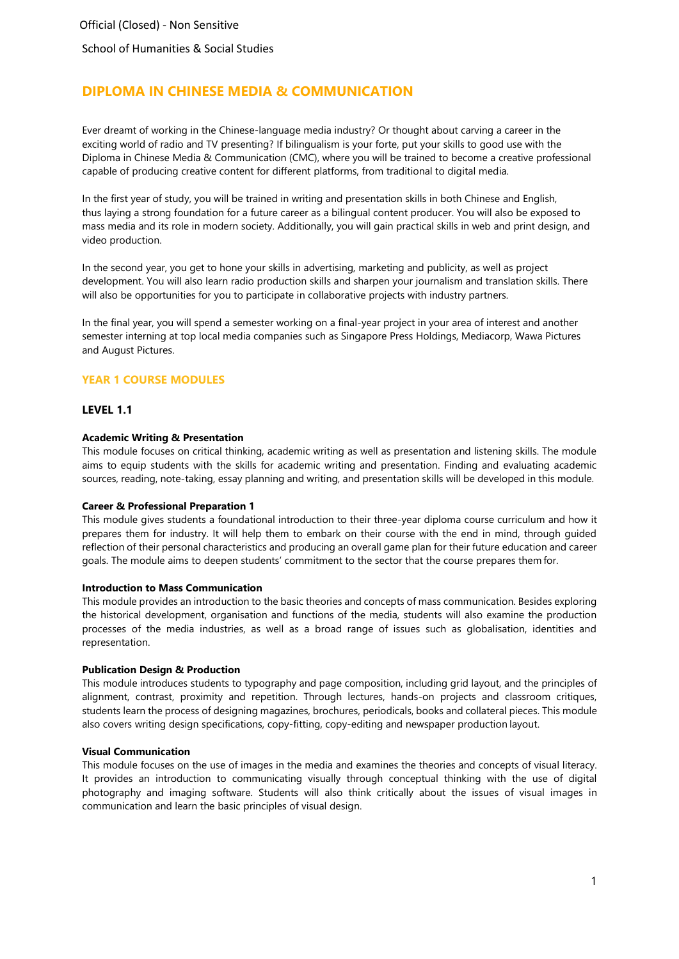School of Humanities & Social Studies

# **DIPLOMA IN CHINESE MEDIA & COMMUNICATION**

Ever dreamt of working in the Chinese-language media industry? Or thought about carving a career in the exciting world of radio and TV presenting? If bilingualism is your forte, put your skills to good use with the Diploma in Chinese Media & Communication (CMC), where you will be trained to become a creative professional capable of producing creative content for different platforms, from traditional to digital media.

In the first year of study, you will be trained in writing and presentation skills in both Chinese and English, thus laying a strong foundation for a future career as a bilingual content producer. You will also be exposed to mass media and its role in modern society. Additionally, you will gain practical skills in web and print design, and video production.

In the second year, you get to hone your skills in advertising, marketing and publicity, as well as project development. You will also learn radio production skills and sharpen your journalism and translation skills. There will also be opportunities for you to participate in collaborative projects with industry partners.

In the final year, you will spend a semester working on a final-year project in your area of interest and another semester interning at top local media companies such as Singapore Press Holdings, Mediacorp, Wawa Pictures and August Pictures.

## **YEAR 1 COURSE MODULES**

### **LEVEL 1.1**

### **Academic Writing & Presentation**

This module focuses on critical thinking, academic writing as well as presentation and listening skills. The module aims to equip students with the skills for academic writing and presentation. Finding and evaluating academic sources, reading, note-taking, essay planning and writing, and presentation skills will be developed in this module.

### **Career & Professional Preparation 1**

This module gives students a foundational introduction to their three-year diploma course curriculum and how it prepares them for industry. It will help them to embark on their course with the end in mind, through guided reflection of their personal characteristics and producing an overall game plan for their future education and career goals. The module aims to deepen students' commitment to the sector that the course prepares them for.

### **Introduction to Mass Communication**

This module provides an introduction to the basic theories and concepts of mass communication. Besides exploring the historical development, organisation and functions of the media, students will also examine the production processes of the media industries, as well as a broad range of issues such as globalisation, identities and representation.

### **Publication Design & Production**

This module introduces students to typography and page composition, including grid layout, and the principles of alignment, contrast, proximity and repetition. Through lectures, hands-on projects and classroom critiques, students learn the process of designing magazines, brochures, periodicals, books and collateral pieces. This module also covers writing design specifications, copy-fitting, copy-editing and newspaper production layout.

### **Visual Communication**

This module focuses on the use of images in the media and examines the theories and concepts of visual literacy. It provides an introduction to communicating visually through conceptual thinking with the use of digital photography and imaging software. Students will also think critically about the issues of visual images in communication and learn the basic principles of visual design.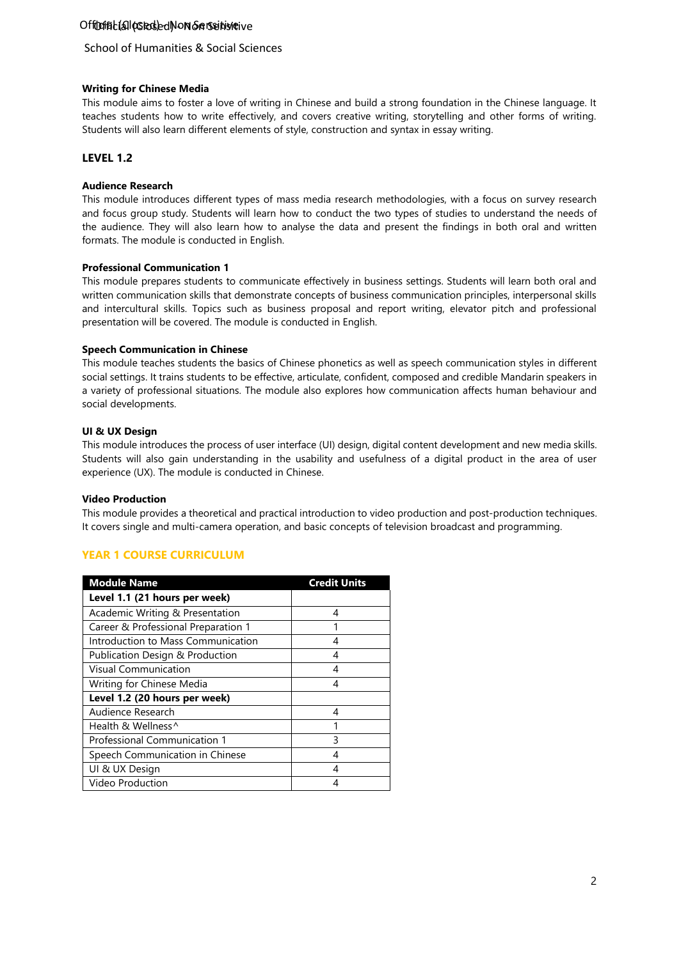# Off**ürfist (all (cslecs)ed Non Senseitivie**ive

# School of Humanities & Social Sciences

### **Writing for Chinese Media**

This module aims to foster a love of writing in Chinese and build a strong foundation in the Chinese language. It teaches students how to write effectively, and covers creative writing, storytelling and other forms of writing. Students will also learn different elements of style, construction and syntax in essay writing.

# **LEVEL 1.2**

### **Audience Research**

This module introduces different types of mass media research methodologies, with a focus on survey research and focus group study. Students will learn how to conduct the two types of studies to understand the needs of the audience. They will also learn how to analyse the data and present the findings in both oral and written formats. The module is conducted in English.

### **Professional Communication 1**

This module prepares students to communicate effectively in business settings. Students will learn both oral and written communication skills that demonstrate concepts of business communication principles, interpersonal skills and intercultural skills. Topics such as business proposal and report writing, elevator pitch and professional presentation will be covered. The module is conducted in English.

### **Speech Communication in Chinese**

This module teaches students the basics of Chinese phonetics as well as speech communication styles in different social settings. It trains students to be effective, articulate, confident, composed and credible Mandarin speakers in a variety of professional situations. The module also explores how communication affects human behaviour and social developments.

### **UI & UX Design**

This module introduces the process of user interface (UI) design, digital content development and new media skills. Students will also gain understanding in the usability and usefulness of a digital product in the area of user experience (UX). The module is conducted in Chinese.

### **Video Production**

This module provides a theoretical and practical introduction to video production and post-production techniques. It covers single and multi-camera operation, and basic concepts of television broadcast and programming.

# **YEAR 1 COURSE CURRICULUM**

| <b>Module Name</b>                  | <b>Credit Units</b> |
|-------------------------------------|---------------------|
| Level 1.1 (21 hours per week)       |                     |
| Academic Writing & Presentation     | 4                   |
| Career & Professional Preparation 1 |                     |
| Introduction to Mass Communication  | 4                   |
| Publication Design & Production     | 4                   |
| <b>Visual Communication</b>         | 4                   |
| Writing for Chinese Media           | 4                   |
| Level 1.2 (20 hours per week)       |                     |
| Audience Research                   | 4                   |
| Health & Wellness <sup>^</sup>      |                     |
| Professional Communication 1        | 3                   |
| Speech Communication in Chinese     | 4                   |
| UI & UX Design                      |                     |
| Video Production                    |                     |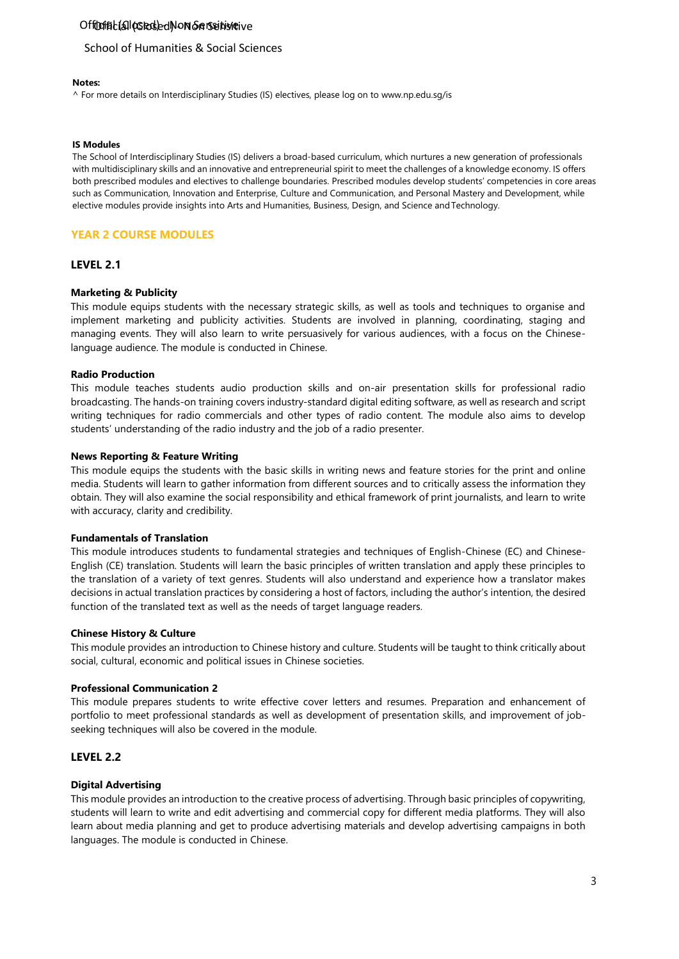# Off**ürfist (all (cslecs)ed Non Senseitivie**ive

### School of Humanities & Social Sciences

#### **Notes:**

^ For more details on Interdisciplinary Studies (IS) electives, please log on t[o www.np.edu.sg/is](http://www.np.edu.sg/is)

### **IS Modules**

 The School of Interdisciplinary Studies (IS) delivers a broad-based curriculum, which nurtures a new generation of professionals with multidisciplinary skills and an innovative and entrepreneurial spirit to meet the challenges of a knowledge economy. IS offers both prescribed modules and electives to challenge boundaries. Prescribed modules develop students' competencies in core areas such as Communication, Innovation and Enterprise, Culture and Communication, and Personal Mastery and Development, while elective modules provide insights into Arts and Humanities, Business, Design, and Science andTechnology.

### **YEAR 2 COURSE MODULES**

#### **LEVEL 2.1**

#### **Marketing & Publicity**

This module equips students with the necessary strategic skills, as well as tools and techniques to organise and implement marketing and publicity activities. Students are involved in planning, coordinating, staging and managing events. They will also learn to write persuasively for various audiences, with a focus on the Chineselanguage audience. The module is conducted in Chinese.

#### **Radio Production**

This module teaches students audio production skills and on-air presentation skills for professional radio broadcasting. The hands-on training covers industry-standard digital editing software, as well as research and script writing techniques for radio commercials and other types of radio content. The module also aims to develop students' understanding of the radio industry and the job of a radio presenter.

#### **News Reporting & Feature Writing**

This module equips the students with the basic skills in writing news and feature stories for the print and online media. Students will learn to gather information from different sources and to critically assess the information they obtain. They will also examine the social responsibility and ethical framework of print journalists, and learn to write with accuracy, clarity and credibility.

#### **Fundamentals of Translation**

This module introduces students to fundamental strategies and techniques of English-Chinese (EC) and Chinese-English (CE) translation. Students will learn the basic principles of written translation and apply these principles to the translation of a variety of text genres. Students will also understand and experience how a translator makes decisions in actual translation practices by considering a host of factors, including the author's intention, the desired function of the translated text as well as the needs of target language readers.

#### **Chinese History & Culture**

This module provides an introduction to Chinese history and culture. Students will be taught to think critically about social, cultural, economic and political issues in Chinese societies.

#### **Professional Communication 2**

This module prepares students to write effective cover letters and resumes. Preparation and enhancement of portfolio to meet professional standards as well as development of presentation skills, and improvement of jobseeking techniques will also be covered in the module.

### **LEVEL 2.2**

### **Digital Advertising**

This module provides an introduction to the creative process of advertising. Through basic principles of copywriting, students will learn to write and edit advertising and commercial copy for different media platforms. They will also learn about media planning and get to produce advertising materials and develop advertising campaigns in both languages. The module is conducted in Chinese.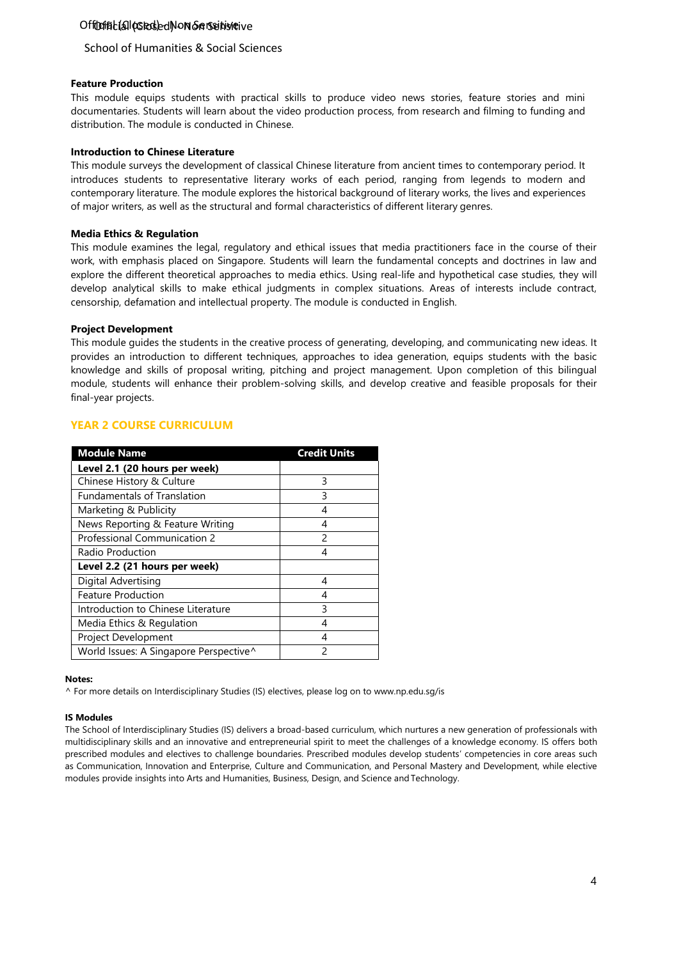# Off**ürfist (all (cslecs)ed Non Senseitivie**ive

# School of Humanities & Social Sciences

### **Feature Production**

This module equips students with practical skills to produce video news stories, feature stories and mini documentaries. Students will learn about the video production process, from research and filming to funding and distribution. The module is conducted in Chinese.

### **Introduction to Chinese Literature**

This module surveys the development of classical Chinese literature from ancient times to contemporary period. It introduces students to representative literary works of each period, ranging from legends to modern and contemporary literature. The module explores the historical background of literary works, the lives and experiences of major writers, as well as the structural and formal characteristics of different literary genres.

### **Media Ethics & Regulation**

This module examines the legal, regulatory and ethical issues that media practitioners face in the course of their work, with emphasis placed on Singapore. Students will learn the fundamental concepts and doctrines in law and explore the different theoretical approaches to media ethics. Using real-life and hypothetical case studies, they will develop analytical skills to make ethical judgments in complex situations. Areas of interests include contract, censorship, defamation and intellectual property. The module is conducted in English.

### **Project Development**

This module guides the students in the creative process of generating, developing, and communicating new ideas. It provides an introduction to different techniques, approaches to idea generation, equips students with the basic knowledge and skills of proposal writing, pitching and project management. Upon completion of this bilingual module, students will enhance their problem-solving skills, and develop creative and feasible proposals for their final-year projects.

# **YEAR 2 COURSE CURRICULUM**

| <b>Module Name</b>                     | <b>Credit Units</b> |
|----------------------------------------|---------------------|
| Level 2.1 (20 hours per week)          |                     |
| Chinese History & Culture              | 3                   |
| <b>Fundamentals of Translation</b>     | 3                   |
| Marketing & Publicity                  | 4                   |
| News Reporting & Feature Writing       | 4                   |
| Professional Communication 2           | $\mathfrak{p}$      |
| Radio Production                       | 4                   |
| Level 2.2 (21 hours per week)          |                     |
| Digital Advertising                    | 4                   |
| <b>Feature Production</b>              | 4                   |
| Introduction to Chinese Literature     | 3                   |
| Media Ethics & Regulation              | 4                   |
| Project Development                    | 4                   |
| World Issues: A Singapore Perspective^ | フ                   |

### **Notes:**

^ For more details on Interdisciplinary Studies (IS) electives, please log on to [www.np.edu.sg/is](http://www.np.edu.sg/is)

### **IS Modules**

The School of Interdisciplinary Studies (IS) delivers a broad-based curriculum, which nurtures a new generation of professionals with multidisciplinary skills and an innovative and entrepreneurial spirit to meet the challenges of a knowledge economy. IS offers both prescribed modules and electives to challenge boundaries. Prescribed modules develop students' competencies in core areas such as Communication, Innovation and Enterprise, Culture and Communication, and Personal Mastery and Development, while elective modules provide insights into Arts and Humanities, Business, Design, and Science andTechnology.